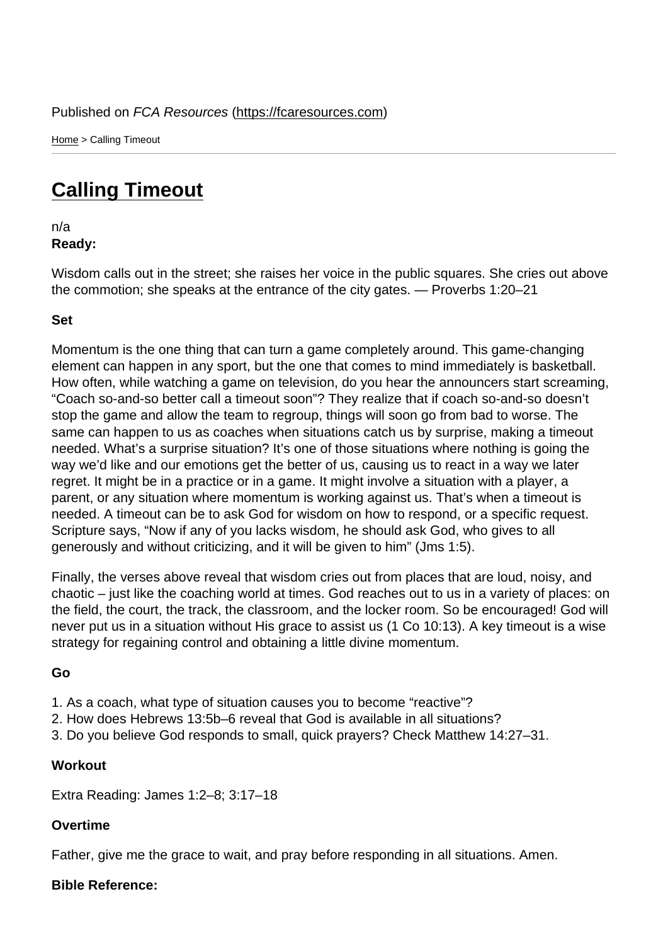Home > Calling Timeout

## [Cal](https://fcaresources.com/)ling Timeout

n/a [Ready:](https://fcaresources.com/devotional/calling-timeout) 

Wisdom calls out in the street; she raises her voice in the public squares. She cries out above the commotion; she speaks at the entrance of the city gates. — Proverbs 1:20–21

Set

Momentum is the one thing that can turn a game completely around. This game-changing element can happen in any sport, but the one that comes to mind immediately is basketball. How often, while watching a game on television, do you hear the announcers start screaming, "Coach so-and-so better call a timeout soon"? They realize that if coach so-and-so doesn't stop the game and allow the team to regroup, things will soon go from bad to worse. The same can happen to us as coaches when situations catch us by surprise, making a timeout needed. What's a surprise situation? It's one of those situations where nothing is going the way we'd like and our emotions get the better of us, causing us to react in a way we later regret. It might be in a practice or in a game. It might involve a situation with a player, a parent, or any situation where momentum is working against us. That's when a timeout is needed. A timeout can be to ask God for wisdom on how to respond, or a specific request. Scripture says, "Now if any of you lacks wisdom, he should ask God, who gives to all generously and without criticizing, and it will be given to him" (Jms 1:5).

Finally, the verses above reveal that wisdom cries out from places that are loud, noisy, and chaotic – just like the coaching world at times. God reaches out to us in a variety of places: on the field, the court, the track, the classroom, and the locker room. So be encouraged! God will never put us in a situation without His grace to assist us (1 Co 10:13). A key timeout is a wise strategy for regaining control and obtaining a little divine momentum.

Go

- 1. As a coach, what type of situation causes you to become "reactive"?
- 2. How does Hebrews 13:5b–6 reveal that God is available in all situations?
- 3. Do you believe God responds to small, quick prayers? Check Matthew 14:27–31.

**Workout** 

Extra Reading: James 1:2–8; 3:17–18

Overtime

Father, give me the grace to wait, and pray before responding in all situations. Amen.

Bible Reference: